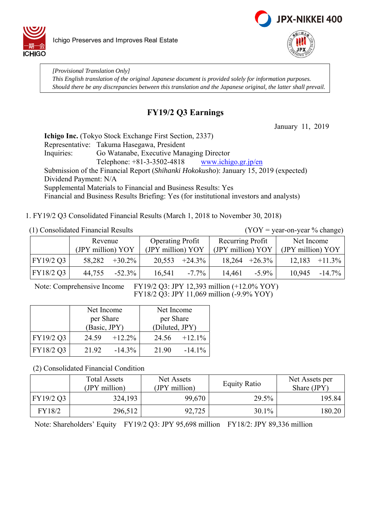



*[Provisional Translation Only] This English translation of the original Japanese document is provided solely for information purposes. Should there be any discrepancies between this translation and the Japanese original, the latter shall prevail.*

# **FY19/2 Q3 Earnings**

January 11, 2019

**Ichigo Inc.** (Tokyo Stock Exchange First Section, 2337) Representative: Takuma Hasegawa, President Inquiries: Go Watanabe, Executive Managing Director Telephone:  $+81-3-3502-4818$  www.ichigo.gr.jp/en Submission of the Financial Report (*Shihanki Hokokusho*): January 15, 2019 (expected) Dividend Payment: N/A Supplemental Materials to Financial and Business Results: Yes Financial and Business Results Briefing: Yes (for institutional investors and analysts)

1. FY19/2 Q3 Consolidated Financial Results (March 1, 2018 to November 30, 2018)

(1) Consolidated Financial Results (YOY = year-on-year % change)

|           | Revenue           |           | <b>Operating Profit</b> |                  | Recurring Profit  |                  | Net Income        |           |
|-----------|-------------------|-----------|-------------------------|------------------|-------------------|------------------|-------------------|-----------|
|           | (JPY million) YOY |           | (JPY million) YOY       |                  | (JPY million) YOY |                  | (JPY million) YOY |           |
| FY19/2 Q3 | 58,282            | $+30.2\%$ |                         | $20,553 +24.3\%$ |                   | $18,264 +26.3\%$ | 12,183            | $+11.3\%$ |
| FY18/2 Q3 | 44,755            | $-52.3\%$ | 16,541                  | $-7.7\%$         | 14,461            | $-5.9\%$         | 10.945            | $-14.7\%$ |

Note: Comprehensive Income FY19/2 Q3: JPY 12,393 million (+12.0% YOY) FY18/2 Q3: JPY 11,069 million (-9.9% YOY)

|           | Net Income         | Net Income         |  |  |
|-----------|--------------------|--------------------|--|--|
|           | per Share          | per Share          |  |  |
|           | (Basic, JPY)       | (Diluted, JPY)     |  |  |
| FY19/2 Q3 | $+12.2\%$<br>24.59 | $+12.1\%$<br>24.56 |  |  |
| FY18/2 Q3 | $-14.3\%$<br>21.92 | 21.90<br>$-14.1\%$ |  |  |

(2) Consolidated Financial Condition

|           | <b>Total Assets</b><br>(JPY million) | Net Assets<br>(JPY million) | <b>Equity Ratio</b> | Net Assets per<br>Share (JPY) |
|-----------|--------------------------------------|-----------------------------|---------------------|-------------------------------|
| FY19/2 Q3 | 324,193                              | 99,670                      | 29.5%               | 195.84                        |
| FY18/2    | 296,512                              | 92,725                      | 30.1%               | 180.20                        |

Note: Shareholders' Equity FY19/2 Q3: JPY 95,698 million FY18/2: JPY 89,336 million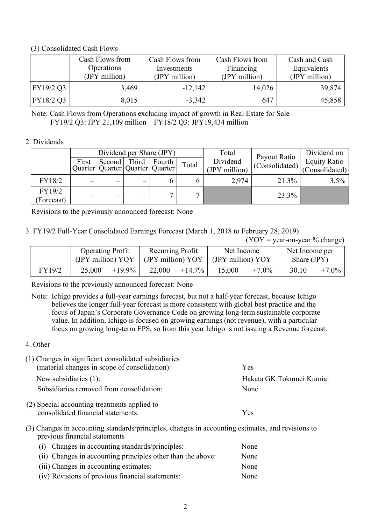### (3) Consolidated Cash Flows

|           | Cash Flows from<br>Operations<br>(JPY million) | Cash Flows from<br>Investments<br>(JPY million) | Cash Flows from<br>Financing<br>(JPY million) | Cash and Cash<br>Equivalents<br>(JPY million) |
|-----------|------------------------------------------------|-------------------------------------------------|-----------------------------------------------|-----------------------------------------------|
| FY19/2 Q3 | 3,469                                          | $-12,142$                                       | 14,026                                        | 39,874                                        |
| FY18/2 Q3 | 8,015                                          | $-3,342$                                        | 647                                           | 45,858                                        |

Note: Cash Flows from Operations excluding impact of growth in Real Estate for Sale FY19/2 Q3: JPY 21,109 million FY18/2 Q3: JPY19,434 million

### 2. Dividends

|            | Dividend per Share (JPY) |                                       |                          |        |       | Total<br>Payout Ratio |                | Dividend on         |
|------------|--------------------------|---------------------------------------|--------------------------|--------|-------|-----------------------|----------------|---------------------|
|            | First                    | Second                                | Third                    | Fourth | Total | Dividend              | (Consolidated) | <b>Equity Ratio</b> |
|            |                          | Quarter   Quarter   Quarter   Quarter |                          |        |       | (JPY million)         |                | (Consolidated)      |
| FY18/2     | —                        | —                                     | $\overline{\phantom{0}}$ |        |       | 2,974                 | 21.3%          | 3.5%                |
| FY19/2     |                          |                                       |                          |        |       |                       | 23.3%          |                     |
| (Forecast) |                          | –                                     | $\overline{\phantom{0}}$ |        |       |                       |                |                     |

Revisions to the previously announced forecast: None

### 3. FY19/2 Full-Year Consolidated Earnings Forecast (March 1, 2018 to February 28, 2019)

 $(YOY = year-on-year % change)$ 

|        | <b>Operating Profit</b><br>(JPY million) YOY |           | Recurring Profit<br>(JPY million) YOY |           | Net Income<br>(JPY million) YOY |          | Net Income per<br>Share (JPY) |          |
|--------|----------------------------------------------|-----------|---------------------------------------|-----------|---------------------------------|----------|-------------------------------|----------|
| FY19/2 | 25,000                                       | $+19.9\%$ | 22,000                                | $+14.7\%$ | 15,000                          | $+7.0\%$ | 30.10                         | $+7.0\%$ |

Revisions to the previously announced forecast: None

- Note: Ichigo provides a full-year earnings forecast, but not a half-year forecast, because Ichigo believes the longer full-year forecast is more consistent with global best practice and the focus of Japan's Corporate Governance Code on growing long-term sustainable corporate value. In addition, Ichigo is focused on growing earnings (not revenue), with a particular focus on growing long-term EPS, so from this year Ichigo is not issuing a Revenue forecast.
- 4. Other

| (1) Changes in significant consolidated subsidiaries<br>(material changes in scope of consolidation):                                                                                                                                                                                                                                                                       | <b>Yes</b>               |
|-----------------------------------------------------------------------------------------------------------------------------------------------------------------------------------------------------------------------------------------------------------------------------------------------------------------------------------------------------------------------------|--------------------------|
| New subsidiaries $(1)$ :                                                                                                                                                                                                                                                                                                                                                    | Hakata GK Tokumei Kumiai |
| Subsidiaries removed from consolidation:                                                                                                                                                                                                                                                                                                                                    | None                     |
| (2) Special accounting treatments applied to                                                                                                                                                                                                                                                                                                                                |                          |
| consolidated financial statements:                                                                                                                                                                                                                                                                                                                                          | <b>Yes</b>               |
| (2) $\bigcap$ $\bigcap$ $\bigcap$ $\bigcup$ $\bigcup$ $\bigcup$ $\bigcup$ $\bigcup$ $\bigcup$ $\bigcup$ $\bigcup$ $\bigcup$ $\bigcup$ $\bigcup$ $\bigcup$ $\bigcup$ $\bigcup$ $\bigcup$ $\bigcup$ $\bigcup$ $\bigcup$ $\bigcup$ $\bigcup$ $\bigcup$ $\bigcup$ $\bigcup$ $\bigcup$ $\bigcup$ $\bigcup$ $\bigcup$ $\bigcup$ $\bigcup$ $\bigcup$ $\bigcup$ $\bigcup$ $\bigcup$ |                          |

(3) Changes in accounting standards/principles, changes in accounting estimates, and revisions to previous financial statements

| (i) Changes in accounting standards/principles:             | None |
|-------------------------------------------------------------|------|
| (ii) Changes in accounting principles other than the above: | None |
| (iii) Changes in accounting estimates:                      | None |
| (iv) Revisions of previous financial statements:            | None |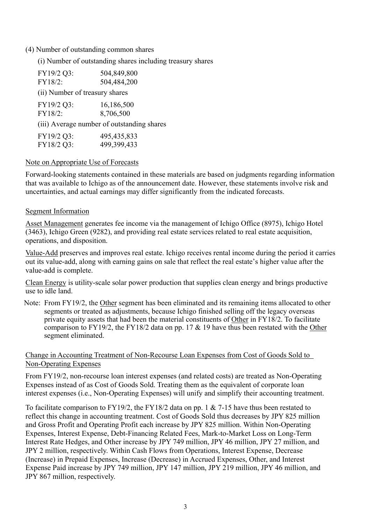### (4) Number of outstanding common shares

(i) Number of outstanding shares including treasury shares

| FY19/2 Q3:                     | 504,849,800                                |
|--------------------------------|--------------------------------------------|
| FY18/2:                        | 504,484,200                                |
| (ii) Number of treasury shares |                                            |
| FY19/2 Q3:                     | 16,186,500                                 |
| FY18/2:                        | 8,706,500                                  |
|                                | (iii) Average number of outstanding shares |
| FY19/2 Q3:                     | 495, 435, 833                              |
| FY18/2 Q3:                     | 499,399,433                                |

### Note on Appropriate Use of Forecasts

Forward-looking statements contained in these materials are based on judgments regarding information that was available to Ichigo as of the announcement date. However, these statements involve risk and uncertainties, and actual earnings may differ significantly from the indicated forecasts.

#### Segment Information

Asset Management generates fee income via the management of Ichigo Office (8975), Ichigo Hotel (3463), Ichigo Green (9282), and providing real estate services related to real estate acquisition, operations, and disposition.

Value-Add preserves and improves real estate. Ichigo receives rental income during the period it carries out its value-add, along with earning gains on sale that reflect the real estate's higher value after the value-add is complete.

Clean Energy is utility-scale solar power production that supplies clean energy and brings productive use to idle land.

Note: From FY19/2, the Other segment has been eliminated and its remaining items allocated to other segments or treated as adjustments, because Ichigo finished selling off the legacy overseas private equity assets that had been the material constituents of Other in FY18/2. To facilitate comparison to FY19/2, the FY18/2 data on pp. 17 & 19 have thus been restated with the Other segment eliminated.

### Change in Accounting Treatment of Non-Recourse Loan Expenses from Cost of Goods Sold to Non-Operating Expenses

From FY19/2, non-recourse loan interest expenses (and related costs) are treated as Non-Operating Expenses instead of as Cost of Goods Sold. Treating them as the equivalent of corporate loan interest expenses (i.e., Non-Operating Expenses) will unify and simplify their accounting treatment.

To facilitate comparison to FY19/2, the FY18/2 data on pp. 1 & 7-15 have thus been restated to reflect this change in accounting treatment. Cost of Goods Sold thus decreases by JPY 825 million and Gross Profit and Operating Profit each increase by JPY 825 million. Within Non-Operating Expenses, Interest Expense, Debt-Financing Related Fees, Mark-to-Market Loss on Long-Term Interest Rate Hedges, and Other increase by JPY 749 million, JPY 46 million, JPY 27 million, and JPY 2 million, respectively. Within Cash Flows from Operations, Interest Expense, Decrease (Increase) in Prepaid Expenses, Increase (Decrease) in Accrued Expenses, Other, and Interest Expense Paid increase by JPY 749 million, JPY 147 million, JPY 219 million, JPY 46 million, and JPY 867 million, respectively.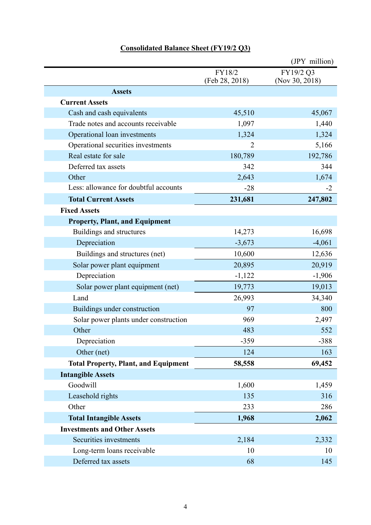| <b>Consolidated Balance Sheet (FY19/2 Q3)</b> |  |
|-----------------------------------------------|--|
|                                               |  |

|                                                                  |                | (JPY million)  |
|------------------------------------------------------------------|----------------|----------------|
|                                                                  | FY18/2         | FY19/2 Q3      |
|                                                                  | (Feb 28, 2018) | (Nov 30, 2018) |
| <b>Assets</b>                                                    |                |                |
| <b>Current Assets</b>                                            |                |                |
| Cash and cash equivalents<br>Trade notes and accounts receivable | 45,510         | 45,067         |
|                                                                  | 1,097          | 1,440          |
| Operational loan investments                                     | 1,324          | 1,324          |
| Operational securities investments<br>Real estate for sale       | 2              | 5,166          |
| Deferred tax assets                                              | 180,789        | 192,786<br>344 |
| Other                                                            | 342            |                |
| Less: allowance for doubtful accounts                            | 2,643<br>$-28$ | 1,674<br>$-2$  |
|                                                                  |                |                |
| <b>Total Current Assets</b><br><b>Fixed Assets</b>               | 231,681        | 247,802        |
|                                                                  |                |                |
| <b>Property, Plant, and Equipment</b>                            |                |                |
| Buildings and structures                                         | 14,273         | 16,698         |
| Depreciation                                                     | $-3,673$       | $-4,061$       |
| Buildings and structures (net)                                   | 10,600         | 12,636         |
| Solar power plant equipment                                      | 20,895         | 20,919         |
| Depreciation                                                     | $-1,122$       | $-1,906$       |
| Solar power plant equipment (net)                                | 19,773         | 19,013         |
| Land                                                             | 26,993         | 34,340         |
| Buildings under construction                                     | 97             | 800            |
| Solar power plants under construction                            | 969            | 2,497          |
| Other                                                            | 483            | 552            |
| Depreciation                                                     | $-359$         | $-388$         |
| Other (net)                                                      | 124            | 163            |
| <b>Total Property, Plant, and Equipment</b>                      | 58,558         | 69,452         |
| <b>Intangible Assets</b>                                         |                |                |
| Goodwill                                                         | 1,600          | 1,459          |
| Leasehold rights                                                 | 135            | 316            |
| Other                                                            | 233            | 286            |
| <b>Total Intangible Assets</b>                                   | 1,968          | 2,062          |
| <b>Investments and Other Assets</b>                              |                |                |
| Securities investments                                           | 2,184          | 2,332          |
| Long-term loans receivable                                       | 10             | 10             |
| Deferred tax assets                                              | 68             | 145            |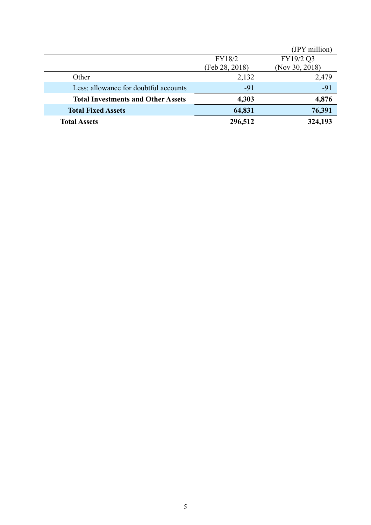|                                           |                | (JPY million)  |
|-------------------------------------------|----------------|----------------|
|                                           | FY18/2         | FY19/2 Q3      |
|                                           | (Feb 28, 2018) | (Nov 30, 2018) |
| Other                                     | 2,132          | 2,479          |
| Less: allowance for doubtful accounts     | $-91$          | $-91$          |
| <b>Total Investments and Other Assets</b> | 4,303          | 4,876          |
| <b>Total Fixed Assets</b>                 | 64,831         | 76,391         |
| <b>Total Assets</b>                       | 296,512        | 324,193        |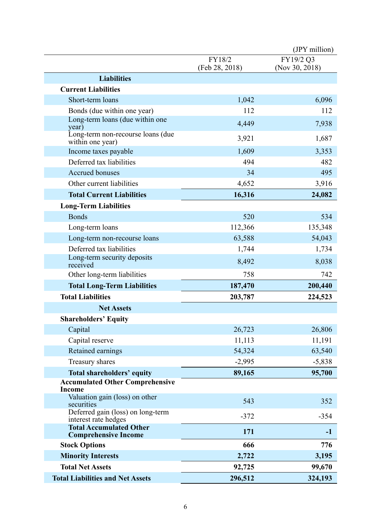|                                                               |                          | (JPY million)               |
|---------------------------------------------------------------|--------------------------|-----------------------------|
|                                                               | FY18/2<br>(Feb 28, 2018) | FY19/2 Q3<br>(Nov 30, 2018) |
| <b>Liabilities</b>                                            |                          |                             |
| <b>Current Liabilities</b>                                    |                          |                             |
| Short-term loans                                              | 1,042                    | 6,096                       |
| Bonds (due within one year)                                   | 112                      | 112                         |
| Long-term loans (due within one<br>year)                      | 4,449                    | 7,938                       |
| Long-term non-recourse loans (due<br>within one year)         | 3,921                    | 1,687                       |
| Income taxes payable                                          | 1,609                    | 3,353                       |
| Deferred tax liabilities                                      | 494                      | 482                         |
| Accrued bonuses                                               | 34                       | 495                         |
| Other current liabilities                                     | 4,652                    | 3,916                       |
| <b>Total Current Liabilities</b>                              | 16,316                   | 24,082                      |
| <b>Long-Term Liabilities</b>                                  |                          |                             |
| <b>Bonds</b>                                                  | 520                      | 534                         |
| Long-term loans                                               | 112,366                  | 135,348                     |
| Long-term non-recourse loans                                  | 63,588                   | 54,043                      |
| Deferred tax liabilities                                      | 1,744                    | 1,734                       |
| Long-term security deposits<br>received                       | 8,492                    | 8,038                       |
| Other long-term liabilities                                   | 758                      | 742                         |
| <b>Total Long-Term Liabilities</b><br>187,470                 |                          | 200,440                     |
| <b>Total Liabilities</b>                                      | 203,787                  | 224,523                     |
| <b>Net Assets</b>                                             |                          |                             |
| <b>Shareholders' Equity</b>                                   |                          |                             |
| Capital                                                       | 26,723                   | 26,806                      |
| Capital reserve                                               | 11,113                   | 11,191                      |
| Retained earnings                                             | 54,324                   | 63,540                      |
| Treasury shares                                               | $-2,995$                 | $-5,838$                    |
| <b>Total shareholders' equity</b>                             | 89,165                   | 95,700                      |
| <b>Accumulated Other Comprehensive</b><br><b>Income</b>       |                          |                             |
| Valuation gain (loss) on other<br>securities                  | 543                      | 352                         |
| Deferred gain (loss) on long-term<br>interest rate hedges     | $-372$                   | $-354$                      |
| <b>Total Accumulated Other</b><br><b>Comprehensive Income</b> | 171                      | $-1$                        |
| <b>Stock Options</b>                                          | 666                      | 776                         |
| <b>Minority Interests</b>                                     | 2,722                    | 3,195                       |
| <b>Total Net Assets</b>                                       | 92,725                   | 99,670                      |
| <b>Total Liabilities and Net Assets</b>                       | 296,512                  | 324,193                     |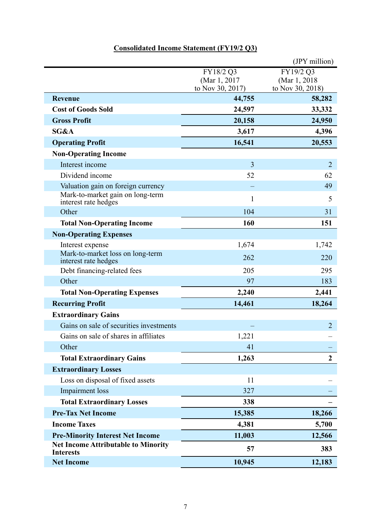# **Consolidated Income Statement (FY19/2 Q3)**

|                                                                |                                                | (JPY million)                                  |
|----------------------------------------------------------------|------------------------------------------------|------------------------------------------------|
|                                                                | FY18/2 Q3<br>(Mar 1, 2017)<br>to Nov 30, 2017) | FY19/2 Q3<br>(Mar 1, 2018)<br>to Nov 30, 2018) |
| <b>Revenue</b>                                                 | 44,755                                         | 58,282                                         |
| <b>Cost of Goods Sold</b>                                      | 24,597                                         | 33,332                                         |
| <b>Gross Profit</b>                                            | 20,158                                         | 24,950                                         |
| SG&A                                                           | 3,617                                          | 4,396                                          |
| <b>Operating Profit</b>                                        | 16,541                                         | 20,553                                         |
| <b>Non-Operating Income</b>                                    |                                                |                                                |
| Interest income                                                | $\overline{3}$                                 | $\overline{2}$                                 |
| Dividend income                                                | 52                                             | 62                                             |
| Valuation gain on foreign currency                             |                                                | 49                                             |
| Mark-to-market gain on long-term<br>interest rate hedges       | $\mathbf{1}$                                   | 5                                              |
| Other                                                          | 104                                            | 31                                             |
| <b>Total Non-Operating Income</b>                              | 160                                            | 151                                            |
| <b>Non-Operating Expenses</b>                                  |                                                |                                                |
| Interest expense                                               | 1,674                                          | 1,742                                          |
| Mark-to-market loss on long-term<br>interest rate hedges       | 262                                            | 220                                            |
| Debt financing-related fees                                    | 205                                            | 295                                            |
| Other                                                          | 97                                             | 183                                            |
| <b>Total Non-Operating Expenses</b>                            | 2,240                                          | 2,441                                          |
| <b>Recurring Profit</b>                                        | 14,461                                         | 18,264                                         |
| <b>Extraordinary Gains</b>                                     |                                                |                                                |
| Gains on sale of securities investments                        |                                                | $\overline{2}$                                 |
| Gains on sale of shares in affiliates                          | 1,221                                          |                                                |
| Other                                                          | 41                                             |                                                |
| <b>Total Extraordinary Gains</b>                               | 1,263                                          | $\overline{2}$                                 |
| <b>Extraordinary Losses</b>                                    |                                                |                                                |
| Loss on disposal of fixed assets                               | 11                                             |                                                |
| Impairment loss                                                | 327                                            |                                                |
| <b>Total Extraordinary Losses</b>                              | 338                                            |                                                |
| <b>Pre-Tax Net Income</b>                                      | 15,385                                         | 18,266                                         |
| <b>Income Taxes</b>                                            | 4,381                                          | 5,700                                          |
| <b>Pre-Minority Interest Net Income</b>                        | 11,003                                         | 12,566                                         |
| <b>Net Income Attributable to Minority</b><br><b>Interests</b> | 57                                             | 383                                            |
| <b>Net Income</b>                                              | 10,945                                         | 12,183                                         |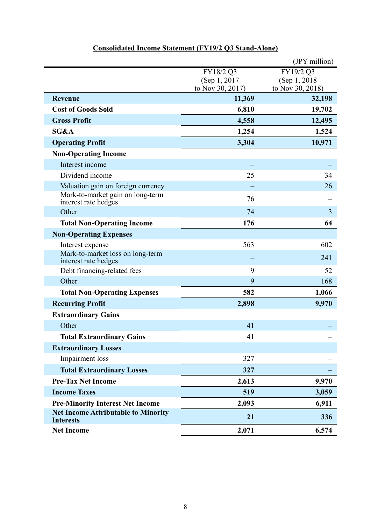|                                                                |                                   | (JPY million)                     |
|----------------------------------------------------------------|-----------------------------------|-----------------------------------|
|                                                                | FY18/2 Q3                         | FY19/2 Q3                         |
|                                                                | (Sep 1, 2017)<br>to Nov 30, 2017) | (Sep 1, 2018)<br>to Nov 30, 2018) |
| Revenue                                                        | 11,369                            | 32,198                            |
| <b>Cost of Goods Sold</b>                                      | 6,810                             | 19,702                            |
| <b>Gross Profit</b>                                            | 4,558                             | 12,495                            |
| SG&A                                                           | 1,254                             | 1,524                             |
| <b>Operating Profit</b>                                        | 3,304                             | 10,971                            |
| <b>Non-Operating Income</b>                                    |                                   |                                   |
| Interest income                                                |                                   |                                   |
| Dividend income                                                | 25                                | 34                                |
| Valuation gain on foreign currency                             |                                   | 26                                |
| Mark-to-market gain on long-term<br>interest rate hedges       | 76                                |                                   |
| Other                                                          | 74                                | 3                                 |
| <b>Total Non-Operating Income</b>                              | 176                               | 64                                |
| <b>Non-Operating Expenses</b>                                  |                                   |                                   |
| Interest expense                                               | 563                               | 602                               |
| Mark-to-market loss on long-term<br>interest rate hedges       |                                   | 241                               |
| Debt financing-related fees                                    | 9                                 | 52                                |
| Other                                                          | 9                                 | 168                               |
| <b>Total Non-Operating Expenses</b>                            | 582                               | 1,066                             |
| <b>Recurring Profit</b>                                        | 2,898                             | 9,970                             |
| <b>Extraordinary Gains</b>                                     |                                   |                                   |
| Other                                                          | 41                                |                                   |
| <b>Total Extraordinary Gains</b>                               | 41                                |                                   |
| <b>Extraordinary Losses</b>                                    |                                   |                                   |
| Impairment loss                                                | 327                               |                                   |
| <b>Total Extraordinary Losses</b>                              | 327                               |                                   |
| <b>Pre-Tax Net Income</b>                                      | 2,613                             | 9,970                             |
| <b>Income Taxes</b>                                            | 519                               | 3,059                             |
| <b>Pre-Minority Interest Net Income</b>                        | 2,093                             | 6,911                             |
| <b>Net Income Attributable to Minority</b><br><b>Interests</b> | 21                                | 336                               |
| <b>Net Income</b>                                              | 2,071                             | 6,574                             |

# **Consolidated Income Statement (FY19/2 Q3 Stand-Alone)**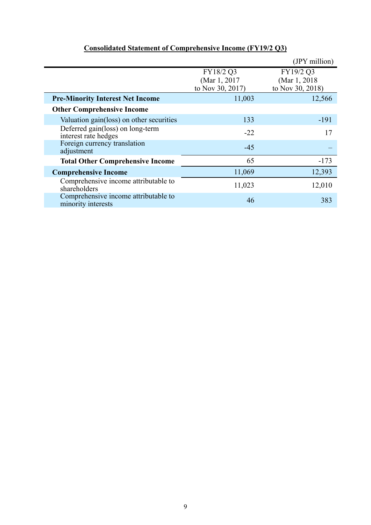|                                                            |                                                | (JPY million)                                  |  |
|------------------------------------------------------------|------------------------------------------------|------------------------------------------------|--|
|                                                            | FY18/2 Q3<br>(Mar 1, 2017)<br>to Nov 30, 2017) | FY19/2 Q3<br>(Mar 1, 2018)<br>to Nov 30, 2018) |  |
| <b>Pre-Minority Interest Net Income</b>                    | 11,003                                         | 12,566                                         |  |
| <b>Other Comprehensive Income</b>                          |                                                |                                                |  |
| Valuation gain(loss) on other securities                   | 133                                            | -191                                           |  |
| Deferred gain(loss) on long-term<br>interest rate hedges   | $-22$                                          | 17                                             |  |
| Foreign currency translation<br>adjustment                 | $-45$                                          |                                                |  |
| <b>Total Other Comprehensive Income</b>                    | 65                                             | $-173$                                         |  |
| <b>Comprehensive Income</b>                                | 11,069                                         | 12,393                                         |  |
| Comprehensive income attributable to<br>shareholders       | 11,023                                         | 12,010                                         |  |
| Comprehensive income attributable to<br>minority interests | 46                                             | 383                                            |  |

# **Consolidated Statement of Comprehensive Income (FY19/2 Q3)**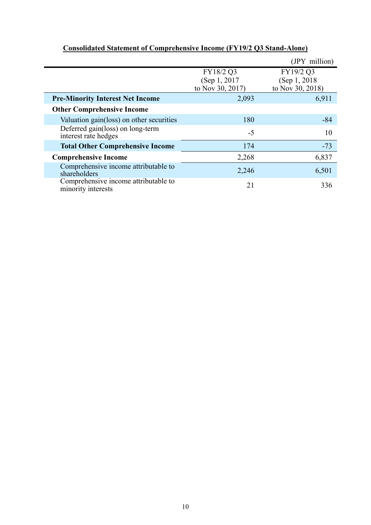|                                                            |                                                | (JPY million)                                  |
|------------------------------------------------------------|------------------------------------------------|------------------------------------------------|
|                                                            | FY18/2 Q3<br>(Sep 1, 2017)<br>to Nov 30, 2017) | FY19/2 Q3<br>(Sep 1, 2018)<br>to Nov 30, 2018) |
| <b>Pre-Minority Interest Net Income</b>                    | 2,093                                          | 6,911                                          |
| <b>Other Comprehensive Income</b>                          |                                                |                                                |
| Valuation gain(loss) on other securities                   | 180                                            | $-84$                                          |
| Deferred gain(loss) on long-term<br>interest rate hedges   | $-5$                                           | 10                                             |
| <b>Total Other Comprehensive Income</b>                    | 174                                            | $-73$                                          |
| <b>Comprehensive Income</b>                                | 2,268                                          | 6,837                                          |
| Comprehensive income attributable to<br>shareholders       | 2,246                                          | 6,501                                          |
| Comprehensive income attributable to<br>minority interests | 21                                             | 336                                            |

# **Consolidated Statement of Comprehensive Income (FY19/2 Q3 Stand-Alone)**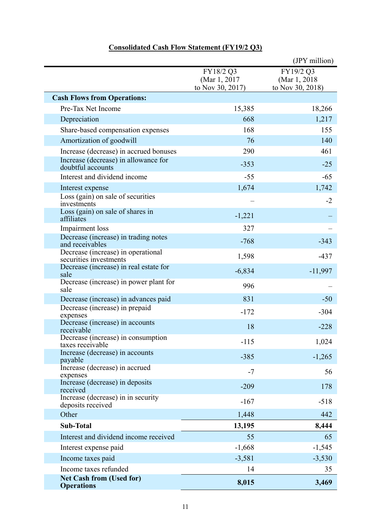|                                                              |                                                | (JPY million)                                  |
|--------------------------------------------------------------|------------------------------------------------|------------------------------------------------|
|                                                              | FY18/2 Q3<br>(Mar 1, 2017)<br>to Nov 30, 2017) | FY19/2 Q3<br>(Mar 1, 2018)<br>to Nov 30, 2018) |
| <b>Cash Flows from Operations:</b>                           |                                                |                                                |
| Pre-Tax Net Income                                           | 15,385                                         | 18,266                                         |
| Depreciation                                                 | 668                                            | 1,217                                          |
| Share-based compensation expenses                            | 168                                            | 155                                            |
| Amortization of goodwill                                     | 76                                             | 140                                            |
| Increase (decrease) in accrued bonuses                       | 290                                            | 461                                            |
| Increase (decrease) in allowance for<br>doubtful accounts    | $-353$                                         | $-25$                                          |
| Interest and dividend income                                 | $-55$                                          | $-65$                                          |
| Interest expense                                             | 1,674                                          | 1,742                                          |
| Loss (gain) on sale of securities<br>investments             |                                                | $-2$                                           |
| Loss (gain) on sale of shares in<br>affiliates               | $-1,221$                                       |                                                |
| Impairment loss                                              | 327                                            |                                                |
| Decrease (increase) in trading notes<br>and receivables      | $-768$                                         | $-343$                                         |
| Decrease (increase) in operational<br>securities investments | 1,598                                          | $-437$                                         |
| Decrease (increase) in real estate for<br>sale               | $-6,834$                                       | $-11,997$                                      |
| Decrease (increase) in power plant for<br>sale               | 996                                            |                                                |
| Decrease (increase) in advances paid                         | 831                                            | $-50$                                          |
| Decrease (increase) in prepaid<br>expenses                   | $-172$                                         | $-304$                                         |
| Decrease (increase) in accounts<br>receivable                | 18                                             | $-228$                                         |
| Decrease (increase) in consumption<br>taxes receivable       | $-115$                                         | 1,024                                          |
| Increase (decrease) in accounts<br>payable                   | $-385$                                         | $-1,265$                                       |
| Increase (decrease) in accrued<br>expenses                   | $-7$                                           | 56                                             |
| Increase (decrease) in deposits<br>received                  | $-209$                                         | 178                                            |
| Increase (decrease) in in security<br>deposits received      | $-167$                                         | $-518$                                         |
| Other                                                        | 1,448                                          | 442                                            |
| <b>Sub-Total</b>                                             | 13,195                                         | 8,444                                          |
| Interest and dividend income received                        | 55                                             | 65                                             |
| Interest expense paid                                        | $-1,668$                                       | $-1,545$                                       |
| Income taxes paid                                            | $-3,581$                                       | $-3,530$                                       |
| Income taxes refunded                                        | 14                                             | 35                                             |
| <b>Net Cash from (Used for)</b><br><b>Operations</b>         | 8,015                                          | 3,469                                          |

## **Consolidated Cash Flow Statement (FY19/2 Q3)**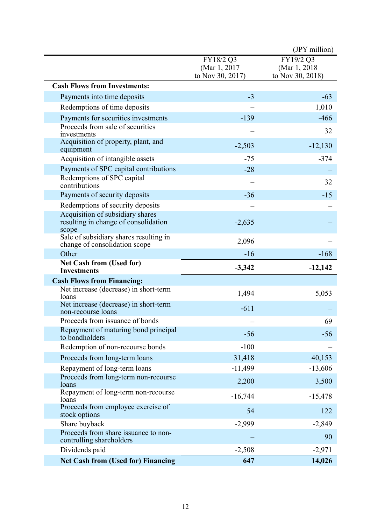|                                                                                   |                                                | (JPY million)                                  |
|-----------------------------------------------------------------------------------|------------------------------------------------|------------------------------------------------|
|                                                                                   | FY18/2 Q3<br>(Mar 1, 2017)<br>to Nov 30, 2017) | FY19/2 Q3<br>(Mar 1, 2018)<br>to Nov 30, 2018) |
| <b>Cash Flows from Investments:</b>                                               |                                                |                                                |
| Payments into time deposits                                                       | $-3$                                           | $-63$                                          |
| Redemptions of time deposits                                                      |                                                | 1,010                                          |
| Payments for securities investments                                               | $-139$                                         | $-466$                                         |
| Proceeds from sale of securities<br>investments                                   |                                                | 32                                             |
| Acquisition of property, plant, and<br>equipment                                  | $-2,503$                                       | $-12,130$                                      |
| Acquisition of intangible assets                                                  | $-75$                                          | $-374$                                         |
| Payments of SPC capital contributions                                             | $-28$                                          |                                                |
| Redemptions of SPC capital<br>contributions                                       |                                                | 32                                             |
| Payments of security deposits                                                     | $-36$                                          | $-15$                                          |
| Redemptions of security deposits                                                  |                                                |                                                |
| Acquisition of subsidiary shares<br>resulting in change of consolidation<br>scope | $-2,635$                                       |                                                |
| Sale of subsidiary shares resulting in<br>change of consolidation scope           | 2,096                                          |                                                |
| Other                                                                             | $-16$                                          | $-168$                                         |
| <b>Net Cash from (Used for)</b><br><b>Investments</b>                             | $-3,342$                                       | $-12,142$                                      |
| <b>Cash Flows from Financing:</b>                                                 |                                                |                                                |
| Net increase (decrease) in short-term<br>loans                                    | 1,494                                          | 5,053                                          |
| Net increase (decrease) in short-term<br>non-recourse loans                       | $-611$                                         |                                                |
| Proceeds from issuance of bonds                                                   |                                                | 69                                             |
| Repayment of maturing bond principal<br>to bondholders                            | $-56$                                          | $-56$                                          |
| Redemption of non-recourse bonds                                                  | $-100$                                         |                                                |
| Proceeds from long-term loans                                                     | 31,418                                         | 40,153                                         |
| Repayment of long-term loans                                                      | $-11,499$                                      | $-13,606$                                      |
| Proceeds from long-term non-recourse<br>loans                                     | 2,200                                          | 3,500                                          |
| Repayment of long-term non-recourse<br>loans                                      | $-16,744$                                      | $-15,478$                                      |
| Proceeds from employee exercise of<br>stock options                               | 54                                             | 122                                            |
| Share buyback                                                                     | $-2,999$                                       | $-2,849$                                       |
| Proceeds from share issuance to non-<br>controlling shareholders                  |                                                | 90                                             |
|                                                                                   |                                                |                                                |
| Dividends paid                                                                    | $-2,508$                                       | $-2,971$                                       |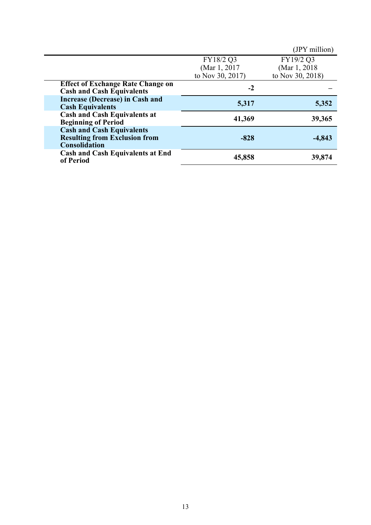|                                                                                                  |                                      | (JPY million) |
|--------------------------------------------------------------------------------------------------|--------------------------------------|---------------|
|                                                                                                  | FY18/2 Q3                            | FY19/2 Q3     |
|                                                                                                  | (Mar 1, 2017                         | (Mar 1, 2018) |
|                                                                                                  | to Nov 30, 2017)<br>to Nov 30, 2018) |               |
| <b>Effect of Exchange Rate Change on</b><br><b>Cash and Cash Equivalents</b>                     | $-2$                                 |               |
| <b>Increase (Decrease) in Cash and</b><br><b>Cash Equivalents</b>                                | 5,317                                | 5,352         |
| <b>Cash and Cash Equivalents at</b><br><b>Beginning of Period</b>                                | 41,369                               | 39,365        |
| <b>Cash and Cash Equivalents</b><br><b>Resulting from Exclusion from</b><br><b>Consolidation</b> | $-828$                               | $-4,843$      |
| <b>Cash and Cash Equivalents at End</b><br>of Period                                             | 45,858                               | 39,874        |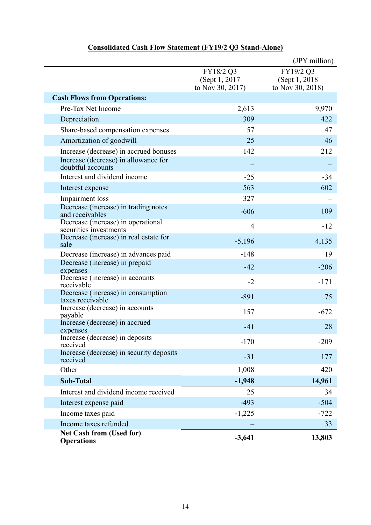|                                                              |                                                 | (JPY million)                                   |
|--------------------------------------------------------------|-------------------------------------------------|-------------------------------------------------|
|                                                              | FY18/2 Q3<br>(Sept 1, 2017)<br>to Nov 30, 2017) | FY19/2 Q3<br>(Sept 1, 2018)<br>to Nov 30, 2018) |
| <b>Cash Flows from Operations:</b>                           |                                                 |                                                 |
| Pre-Tax Net Income                                           | 2,613                                           | 9,970                                           |
| Depreciation                                                 | 309                                             | 422                                             |
| Share-based compensation expenses                            | 57                                              | 47                                              |
| Amortization of goodwill                                     | 25                                              | 46                                              |
| Increase (decrease) in accrued bonuses                       | 142                                             | 212                                             |
| Increase (decrease) in allowance for<br>doubtful accounts    |                                                 |                                                 |
| Interest and dividend income                                 | $-25$                                           | $-34$                                           |
| Interest expense                                             | 563                                             | 602                                             |
| Impairment loss                                              | 327                                             |                                                 |
| Decrease (increase) in trading notes<br>and receivables      | $-606$                                          | 109                                             |
| Decrease (increase) in operational<br>securities investments | $\overline{4}$                                  | $-12$                                           |
| Decrease (increase) in real estate for<br>sale               | $-5,196$                                        | 4,135                                           |
| Decrease (increase) in advances paid                         | $-148$                                          | 19                                              |
| Decrease (increase) in prepaid                               | $-42$                                           | $-206$                                          |
| expenses<br>Decrease (increase) in accounts                  |                                                 |                                                 |
| receivable                                                   | $-2$                                            | $-171$                                          |
| Decrease (increase) in consumption<br>taxes receivable       | $-891$                                          | 75                                              |
| Increase (decrease) in accounts<br>payable                   | 157                                             | $-672$                                          |
| Increase (decrease) in accrued<br>expenses                   | $-41$                                           | 28                                              |
| Increase (decrease) in deposits<br>received                  | $-170$                                          | $-209$                                          |
| Increase (decrease) in security deposits<br>received         | $-31$                                           | 177                                             |
| Other                                                        | 1,008                                           | 420                                             |
| <b>Sub-Total</b>                                             | $-1,948$                                        | 14,961                                          |
| Interest and dividend income received                        | 25                                              | 34                                              |
| Interest expense paid                                        | $-493$                                          | $-504$                                          |
| Income taxes paid                                            | $-1,225$                                        | $-722$                                          |
| Income taxes refunded                                        |                                                 | 33                                              |
| <b>Net Cash from (Used for)</b><br><b>Operations</b>         | $-3,641$                                        | 13,803                                          |

## **Consolidated Cash Flow Statement (FY19/2 Q3 Stand-Alone)**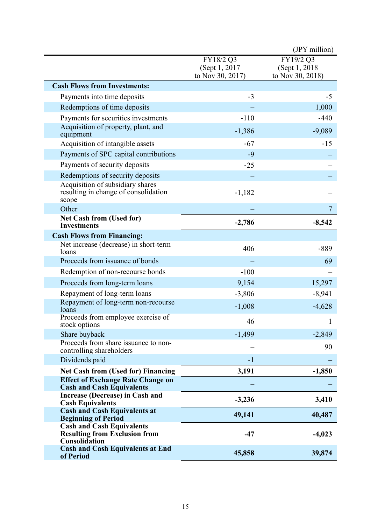|                                                                                           |                                                 | (JPY million)                                   |
|-------------------------------------------------------------------------------------------|-------------------------------------------------|-------------------------------------------------|
|                                                                                           | FY18/2 Q3<br>(Sept 1, 2017)<br>to Nov 30, 2017) | FY19/2 Q3<br>(Sept 1, 2018)<br>to Nov 30, 2018) |
| <b>Cash Flows from Investments:</b>                                                       |                                                 |                                                 |
| Payments into time deposits                                                               | $-3$                                            | $-5$                                            |
| Redemptions of time deposits                                                              |                                                 | 1,000                                           |
| Payments for securities investments                                                       | $-110$                                          | $-440$                                          |
| Acquisition of property, plant, and<br>equipment                                          | $-1,386$                                        | $-9,089$                                        |
| Acquisition of intangible assets                                                          | $-67$                                           | $-15$                                           |
| Payments of SPC capital contributions                                                     | $-9$                                            |                                                 |
| Payments of security deposits                                                             | $-25$                                           |                                                 |
| Redemptions of security deposits                                                          |                                                 |                                                 |
| Acquisition of subsidiary shares<br>resulting in change of consolidation<br>scope         | $-1,182$                                        |                                                 |
| Other                                                                                     |                                                 | $\overline{7}$                                  |
| <b>Net Cash from (Used for)</b><br><b>Investments</b>                                     | $-2,786$                                        | $-8,542$                                        |
| <b>Cash Flows from Financing:</b>                                                         |                                                 |                                                 |
| Net increase (decrease) in short-term<br>loans                                            | 406                                             | $-889$                                          |
| Proceeds from issuance of bonds                                                           |                                                 | 69                                              |
| Redemption of non-recourse bonds                                                          | $-100$                                          |                                                 |
| Proceeds from long-term loans                                                             | 9,154                                           | 15,297                                          |
| Repayment of long-term loans                                                              | $-3,806$                                        | $-8,941$                                        |
| Repayment of long-term non-recourse<br>loans                                              | $-1,008$                                        | $-4,628$                                        |
| Proceeds from employee exercise of                                                        | 46                                              | 1                                               |
| stock options                                                                             |                                                 |                                                 |
| Share buyback<br>Proceeds from share issuance to non-                                     | $-1,499$                                        | $-2,849$                                        |
| controlling shareholders                                                                  |                                                 | 90                                              |
| Dividends paid                                                                            | $-1$                                            |                                                 |
| <b>Net Cash from (Used for) Financing</b>                                                 | 3,191                                           | $-1,850$                                        |
| <b>Effect of Exchange Rate Change on</b><br><b>Cash and Cash Equivalents</b>              |                                                 |                                                 |
| Increase (Decrease) in Cash and<br><b>Cash Equivalents</b>                                | $-3,236$                                        | 3,410                                           |
| <b>Cash and Cash Equivalents at</b><br><b>Beginning of Period</b>                         | 49,141                                          | 40,487                                          |
| <b>Cash and Cash Equivalents</b><br><b>Resulting from Exclusion from</b><br>Consolidation | $-47$                                           | $-4,023$                                        |
| <b>Cash and Cash Equivalents at End</b><br>of Period                                      | 45,858                                          | 39,874                                          |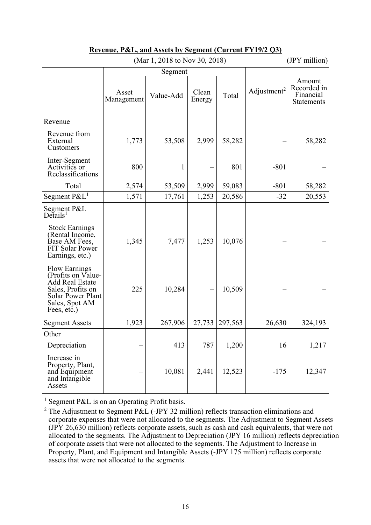|                                                                                                                                          |                     | (IVIAL 1, 2010 W INOV 30, 2010) |                 |         |                         | $(3rT_1$ muniqui                                 |
|------------------------------------------------------------------------------------------------------------------------------------------|---------------------|---------------------------------|-----------------|---------|-------------------------|--------------------------------------------------|
|                                                                                                                                          | Segment             |                                 |                 |         |                         |                                                  |
|                                                                                                                                          | Asset<br>Management | Value-Add                       | Clean<br>Energy | Total   | Adjustment <sup>2</sup> | Amount<br>Recorded in<br>Financial<br>Statements |
| Revenue                                                                                                                                  |                     |                                 |                 |         |                         |                                                  |
| Revenue from<br>External<br>Customers                                                                                                    | 1,773               | 53,508                          | 2,999           | 58,282  |                         | 58,282                                           |
| Inter-Segment<br>Activities or<br>Reclassifications                                                                                      | 800                 | 1                               |                 | 801     | $-801$                  |                                                  |
| Total                                                                                                                                    | 2,574               | 53,509                          | 2,999           | 59,083  | $-801$                  | 58,282                                           |
| Segment $P\&L^1$                                                                                                                         | 1,571               | 17,761                          | 1,253           | 20,586  | $-32$                   | 20,553                                           |
| Segment P&L<br>Details <sup>1</sup>                                                                                                      |                     |                                 |                 |         |                         |                                                  |
| <b>Stock Earnings</b><br>(Rental Income,<br>Base AM Fees,<br>FIT Solar Power<br>Earnings, etc.)                                          | 1,345               | 7,477                           | 1,253           | 10,076  |                         |                                                  |
| <b>Flow Earnings</b><br>(Profits on Value-<br>Add Real Estate<br>Sales, Profits on<br>Solar Power Plant<br>Sales, Spot AM<br>Fees, etc.) | 225                 | 10,284                          |                 | 10,509  |                         |                                                  |
| <b>Segment Assets</b>                                                                                                                    | 1,923               | 267,906                         | 27,733          | 297,563 | 26,630                  | 324,193                                          |
| Other                                                                                                                                    |                     |                                 |                 |         |                         |                                                  |
| Depreciation                                                                                                                             |                     | 413                             | 787             | 1,200   | 16                      | 1,217                                            |
| Increase in<br>Property, Plant,<br>and Equipment<br>and Intangible<br>Assets                                                             |                     | 10,081                          | 2,441           | 12,523  | $-175$                  | 12,347                                           |

#### **Revenue, P&L, and Assets by Segment (Current FY19/2 Q3)**  (Mar 1, 2018 to Nov 30, 2018) (JPY million)

<sup>1</sup> Segment P&L is on an Operating Profit basis.

<sup>&</sup>lt;sup>2</sup> The Adjustment to Segment P&L (-JPY 32 million) reflects transaction eliminations and corporate expenses that were not allocated to the segments. The Adjustment to Segment Assets (JPY 26,630 million) reflects corporate assets, such as cash and cash equivalents, that were not allocated to the segments. The Adjustment to Depreciation (JPY 16 million) reflects depreciation of corporate assets that were not allocated to the segments. The Adjustment to Increase in Property, Plant, and Equipment and Intangible Assets (-JPY 175 million) reflects corporate assets that were not allocated to the segments.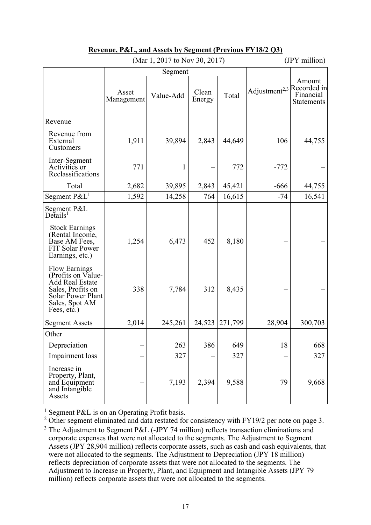|                                                                                                                                          | (Mar 1, 2017 to Nov 30, 2017) |              |                 |         | (JPY million)                         |                                   |
|------------------------------------------------------------------------------------------------------------------------------------------|-------------------------------|--------------|-----------------|---------|---------------------------------------|-----------------------------------|
|                                                                                                                                          |                               | Segment      |                 |         |                                       |                                   |
|                                                                                                                                          | Asset<br>Management           | Value-Add    | Clean<br>Energy | Total   | Adjustment <sup>2,3</sup> Recorded in | Amount<br>Financial<br>Statements |
| Revenue                                                                                                                                  |                               |              |                 |         |                                       |                                   |
| Revenue from<br>External<br>Customers                                                                                                    | 1,911                         | 39,894       | 2,843           | 44,649  | 106                                   | 44,755                            |
| Inter-Segment<br>Activities or<br>Reclassifications                                                                                      | 771                           | $\mathbf{1}$ |                 | 772     | $-772$                                |                                   |
| Total                                                                                                                                    | 2,682                         | 39,895       | 2,843           | 45,421  | $-666$                                | 44,755                            |
| Segment $P\&L^1$                                                                                                                         | 1,592                         | 14,258       | 764             | 16,615  | $-74$                                 | 16,541                            |
| Segment P&L<br>$De$ tails <sup>1</sup>                                                                                                   |                               |              |                 |         |                                       |                                   |
| <b>Stock Earnings</b><br>(Rental Income,<br>Base AM Fees,<br>FIT Solar Power<br>Earnings, etc.)                                          | 1,254                         | 6,473        | 452             | 8,180   |                                       |                                   |
| <b>Flow Earnings</b><br>(Profits on Value-<br>Add Real Estate<br>Sales, Profits on<br>Solar Power Plant<br>Sales, Spot AM<br>Fees, etc.) | 338                           | 7,784        | 312             | 8,435   |                                       |                                   |
| <b>Segment Assets</b>                                                                                                                    | 2,014                         | 245,261      | 24,523          | 271,799 | 28,904                                | 300,703                           |
| Other                                                                                                                                    |                               |              |                 |         |                                       |                                   |
| Depreciation                                                                                                                             |                               | 263          | 386             | 649     | 18                                    | 668                               |
| Impairment loss                                                                                                                          |                               | 327          |                 | 327     |                                       | 327                               |
| Increase in<br>Property, Plant,<br>and Equipment<br>and Intangible<br>Assets                                                             |                               | 7,193        | 2,394           | 9,588   | 79                                    | 9,668                             |

## **Revenue, P&L, and Assets by Segment (Previous FY18/2 Q3)**

<sup>1</sup> Segment P&L is on an Operating Profit basis.

<sup>2</sup> Other segment eliminated and data restated for consistency with FY19/2 per note on page 3.  $3$  The Adjustment to Segment P&L (-JPY 74 million) reflects transaction eliminations and corporate expenses that were not allocated to the segments. The Adjustment to Segment Assets (JPY 28,904 million) reflects corporate assets, such as cash and cash equivalents, that were not allocated to the segments. The Adjustment to Depreciation (JPY 18 million) reflects depreciation of corporate assets that were not allocated to the segments. The Adjustment to Increase in Property, Plant, and Equipment and Intangible Assets (JPY 79 million) reflects corporate assets that were not allocated to the segments.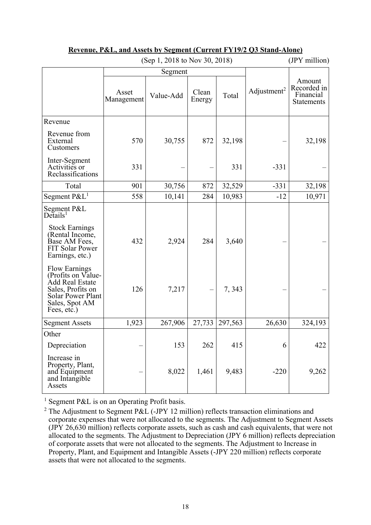|                                                                                                                                          |                     | (Sep 1, 2018 to Nov 30, 2018) | (JPY million)   |         |                         |                                                  |
|------------------------------------------------------------------------------------------------------------------------------------------|---------------------|-------------------------------|-----------------|---------|-------------------------|--------------------------------------------------|
|                                                                                                                                          |                     | Segment                       |                 |         |                         |                                                  |
|                                                                                                                                          | Asset<br>Management | Value-Add                     | Clean<br>Energy | Total   | Adjustment <sup>2</sup> | Amount<br>Recorded in<br>Financial<br>Statements |
| Revenue                                                                                                                                  |                     |                               |                 |         |                         |                                                  |
| Revenue from<br>External<br>Customers                                                                                                    | 570                 | 30,755                        | 872             | 32,198  |                         | 32,198                                           |
| Inter-Segment<br>Activities or<br>Reclassifications                                                                                      | 331                 |                               |                 | 331     | $-331$                  |                                                  |
| Total                                                                                                                                    | 901                 | 30,756                        | 872             | 32,529  | $-331$                  | 32,198                                           |
| Segment P&L <sup>1</sup>                                                                                                                 | 558                 | 10,141                        | 284             | 10,983  | $-12$                   | 10,971                                           |
| Segment P&L<br>$De\check{t}$ ails <sup>1</sup>                                                                                           |                     |                               |                 |         |                         |                                                  |
| <b>Stock Earnings</b><br>(Rental Income,<br>Base AM Fees,<br>FIT Solar Power<br>Earnings, etc.)                                          | 432                 | 2,924                         | 284             | 3,640   |                         |                                                  |
| <b>Flow Earnings</b><br>(Profits on Value-<br>Add Real Estate<br>Sales, Profits on<br>Solar Power Plant<br>Sales, Spot AM<br>Fees, etc.) | 126                 | 7,217                         |                 | 7,343   |                         |                                                  |
| <b>Segment Assets</b>                                                                                                                    | 1,923               | 267,906                       | 27,733          | 297,563 | 26,630                  | 324,193                                          |
| Other                                                                                                                                    |                     |                               |                 |         |                         |                                                  |
| Depreciation                                                                                                                             |                     | 153                           | 262             | 415     | 6                       | 422                                              |
| Increase in<br>Property, Plant,<br>and Equipment<br>and Intangible<br>Assets                                                             |                     | 8,022                         | 1,461           | 9,483   | $-220$                  | 9,262                                            |

### **Revenue, P&L, and Assets by Segment (Current FY19/2 Q3 Stand-Alone)**

<sup>1</sup> Segment P&L is on an Operating Profit basis.

<sup>&</sup>lt;sup>2</sup> The Adjustment to Segment P&L (-JPY 12 million) reflects transaction eliminations and corporate expenses that were not allocated to the segments. The Adjustment to Segment Assets (JPY 26,630 million) reflects corporate assets, such as cash and cash equivalents, that were not allocated to the segments. The Adjustment to Depreciation (JPY 6 million) reflects depreciation of corporate assets that were not allocated to the segments. The Adjustment to Increase in Property, Plant, and Equipment and Intangible Assets (-JPY 220 million) reflects corporate assets that were not allocated to the segments.